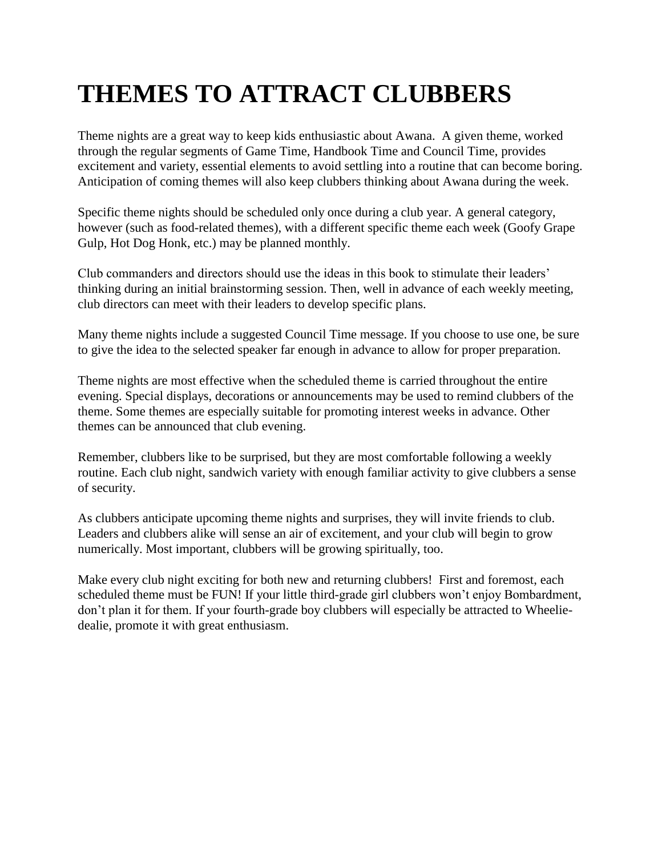# **THEMES TO ATTRACT CLUBBERS**

Theme nights are a great way to keep kids enthusiastic about Awana. A given theme, worked through the regular segments of Game Time, Handbook Time and Council Time, provides excitement and variety, essential elements to avoid settling into a routine that can become boring. Anticipation of coming themes will also keep clubbers thinking about Awana during the week.

Specific theme nights should be scheduled only once during a club year. A general category, however (such as food-related themes), with a different specific theme each week (Goofy Grape Gulp, Hot Dog Honk, etc.) may be planned monthly.

Club commanders and directors should use the ideas in this book to stimulate their leaders' thinking during an initial brainstorming session. Then, well in advance of each weekly meeting, club directors can meet with their leaders to develop specific plans.

Many theme nights include a suggested Council Time message. If you choose to use one, be sure to give the idea to the selected speaker far enough in advance to allow for proper preparation.

Theme nights are most effective when the scheduled theme is carried throughout the entire evening. Special displays, decorations or announcements may be used to remind clubbers of the theme. Some themes are especially suitable for promoting interest weeks in advance. Other themes can be announced that club evening.

Remember, clubbers like to be surprised, but they are most comfortable following a weekly routine. Each club night, sandwich variety with enough familiar activity to give clubbers a sense of security.

As clubbers anticipate upcoming theme nights and surprises, they will invite friends to club. Leaders and clubbers alike will sense an air of excitement, and your club will begin to grow numerically. Most important, clubbers will be growing spiritually, too.

Make every club night exciting for both new and returning clubbers! First and foremost, each scheduled theme must be FUN! If your little third-grade girl clubbers won't enjoy Bombardment, don't plan it for them. If your fourth-grade boy clubbers will especially be attracted to Wheeliedealie, promote it with great enthusiasm.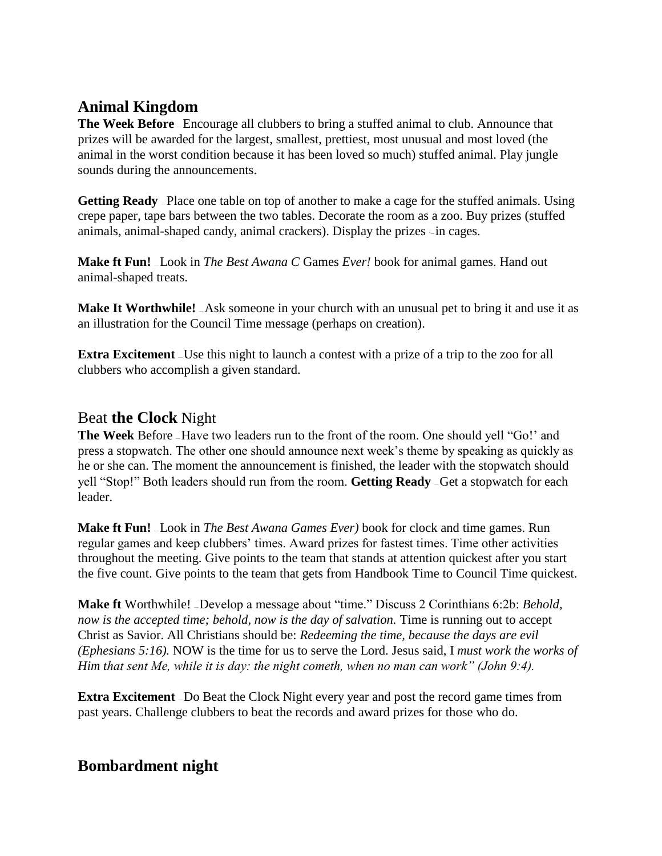# **Animal Kingdom**

**The Week Before** – Encourage all clubbers to bring a stuffed animal to club. Announce that prizes will be awarded for the largest, smallest, prettiest, most unusual and most loved (the animal in the worst condition because it has been loved so much) stuffed animal. Play jungle sounds during the announcements.

**Getting Ready** — Place one table on top of another to make a cage for the stuffed animals. Using crepe paper, tape bars between the two tables. Decorate the room as a zoo. Buy prizes (stuffed animals, animal-shaped candy, animal crackers). Display the prizes  $\sin$  cages.

**Make ft Fun!** — Look in *The Best Awana C* Games *Ever!* book for animal games. Hand out animal-shaped treats.

**Make It Worthwhile!** Ask someone in your church with an unusual pet to bring it and use it as an illustration for the Council Time message (perhaps on creation).

**Extra Excitement** – Use this night to launch a contest with a prize of a trip to the zoo for all clubbers who accomplish a given standard.

## Beat **the Clock** Night

**The Week** Before — Have two leaders run to the front of the room. One should yell "Go!' and press a stopwatch. The other one should announce next week's theme by speaking as quickly as he or she can. The moment the announcement is finished, the leader with the stopwatch should yell "Stop!" Both leaders should run from the room. **Getting Ready** — Get a stopwatch for each leader.

**Make ft Fun!** — Look in *The Best Awana Games Ever)* book for clock and time games. Run regular games and keep clubbers' times. Award prizes for fastest times. Time other activities throughout the meeting. Give points to the team that stands at attention quickest after you start the five count. Give points to the team that gets from Handbook Time to Council Time quickest.

**Make ft** Worthwhile! — Develop a message about "time." Discuss 2 Corinthians 6:2b: *Behold, now is the accepted time; behold, now is the day of salvation. Time is running out to accept* Christ as Savior. All Christians should be: *Redeeming the time, because the days are evil (Ephesians 5:16).* NOW is the time for us to serve the Lord. Jesus said, I *must work the works of Him that sent Me, while it is day: the night cometh, when no man can work" (John 9:4).*

**Extra Excitement** - Do Beat the Clock Night every year and post the record game times from past years. Challenge clubbers to beat the records and award prizes for those who do.

# **Bombardment night**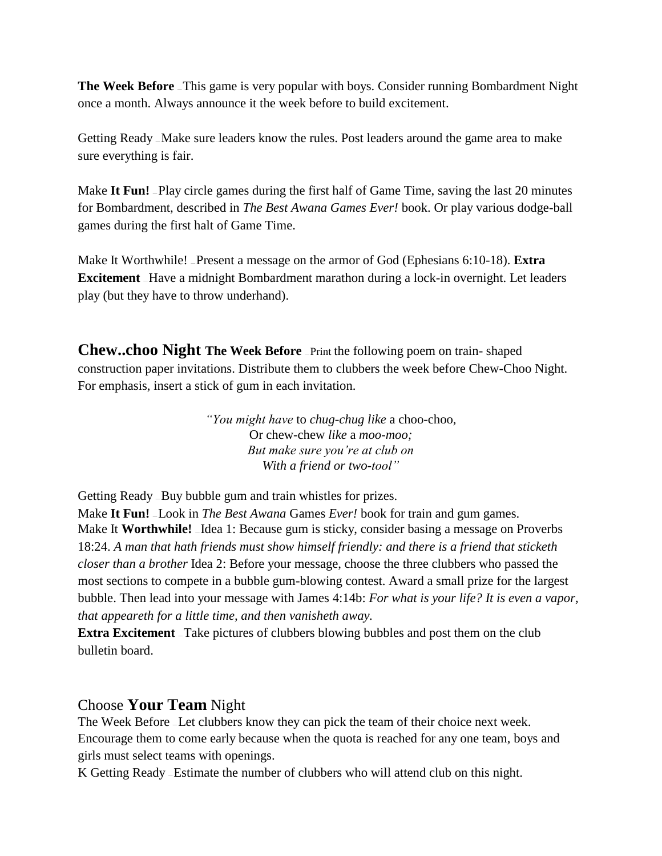**The Week Before** – This game is very popular with boys. Consider running Bombardment Night once a month. Always announce it the week before to build excitement.

Getting Ready — Make sure leaders know the rules. Post leaders around the game area to make sure everything is fair.

Make It Fun! –Play circle games during the first half of Game Time, saving the last 20 minutes for Bombardment, described in *The Best Awana Games Ever!* book. Or play various dodge-ball games during the first halt of Game Time.

Make It Worthwhile! — Present a message on the armor of God (Ephesians 6:10-18). **Extra Excitement** - Have a midnight Bombardment marathon during a lock-in overnight. Let leaders play (but they have to throw underhand).

**Chew..choo Night The Week Before** — Print the following poem on train- shaped construction paper invitations. Distribute them to clubbers the week before Chew-Choo Night. For emphasis, insert a stick of gum in each invitation.

> *"You might have* to *chug-chug like* a choo-choo, Or chew-chew *like* a *moo-moo; But make sure you're at club on With a friend or two-tool"*

Getting Ready — Buy bubble gum and train whistles for prizes.

Make **It Fun!** — Look in *The Best Awana* Games *Ever!* book for train and gum games. Make It **Worthwhile!** Idea 1: Because gum is sticky, consider basing a message on Proverbs 18:24. *A man that hath friends must show himself friendly: and there is a friend that sticketh closer than a brother* Idea 2: Before your message, choose the three clubbers who passed the most sections to compete in a bubble gum-blowing contest. Award a small prize for the largest bubble. Then lead into your message with James 4:14b: *For what is your life? It is even a vapor, that appeareth for a little time, and then vanisheth away.*

**Extra Excitement** – Take pictures of clubbers blowing bubbles and post them on the club bulletin board.

## Choose **Your Team** Night

The Week Before — Let clubbers know they can pick the team of their choice next week. Encourage them to come early because when the quota is reached for any one team, boys and girls must select teams with openings.

K Getting Ready — Estimate the number of clubbers who will attend club on this night.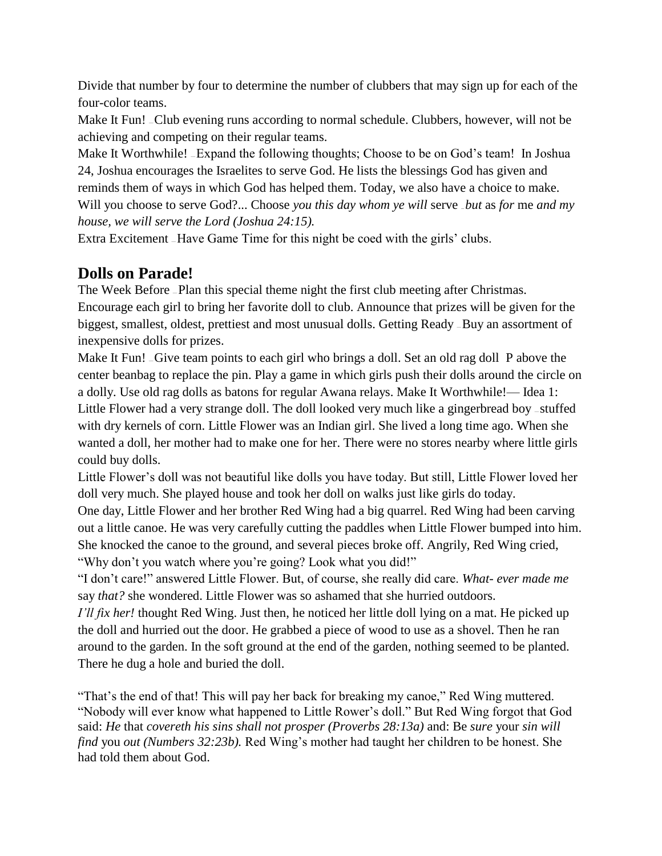Divide that number by four to determine the number of clubbers that may sign up for each of the four-color teams.

Make It Fun! – Club evening runs according to normal schedule. Clubbers, however, will not be achieving and competing on their regular teams.

Make It Worthwhile! - Expand the following thoughts; Choose to be on God's team! In Joshua 24, Joshua encourages the Israelites to serve God. He lists the blessings God has given and reminds them of ways in which God has helped them. Today, we also have a choice to make. Will you choose to serve God?... Choose *you this day whom ye will serve but as for me and my house, we will serve the Lord (Joshua 24:15).*

Extra Excitement — Have Game Time for this night be coed with the girls' clubs.

# **Dolls on Parade!**

The Week Before — Plan this special theme night the first club meeting after Christmas. Encourage each girl to bring her favorite doll to club. Announce that prizes will be given for the biggest, smallest, oldest, prettiest and most unusual dolls. Getting Ready — Buy an assortment of inexpensive dolls for prizes.

Make It Fun! – Give team points to each girl who brings a doll. Set an old rag doll P above the center beanbag to replace the pin. Play a game in which girls push their dolls around the circle on a dolly. Use old rag dolls as batons for regular Awana relays. Make It Worthwhile!— Idea 1: Little Flower had a very strange doll. The doll looked very much like a gingerbread boy — stuffed with dry kernels of corn. Little Flower was an Indian girl. She lived a long time ago. When she wanted a doll, her mother had to make one for her. There were no stores nearby where little girls could buy dolls.

Little Flower's doll was not beautiful like dolls you have today. But still, Little Flower loved her doll very much. She played house and took her doll on walks just like girls do today.

One day, Little Flower and her brother Red Wing had a big quarrel. Red Wing had been carving out a little canoe. He was very carefully cutting the paddles when Little Flower bumped into him. She knocked the canoe to the ground, and several pieces broke off. Angrily, Red Wing cried, "Why don't you watch where you're going? Look what you did!"

"I don't care!" answered Little Flower. But, of course, she really did care. *What- ever made me*  say *that?* she wondered. Little Flower was so ashamed that she hurried outdoors.

*I'll fix her!* thought Red Wing. Just then, he noticed her little doll lying on a mat. He picked up the doll and hurried out the door. He grabbed a piece of wood to use as a shovel. Then he ran around to the garden. In the soft ground at the end of the garden, nothing seemed to be planted. There he dug a hole and buried the doll.

"That's the end of that! This will pay her back for breaking my canoe," Red Wing muttered. "Nobody will ever know what happened to Little Rower's doll." But Red Wing forgot that God said: *He* that *covereth his sins shall not prosper (Proverbs 28:13a)* and: Be *sure* your *sin will find* you *out (Numbers 32:23b).* Red Wing's mother had taught her children to be honest. She had told them about God.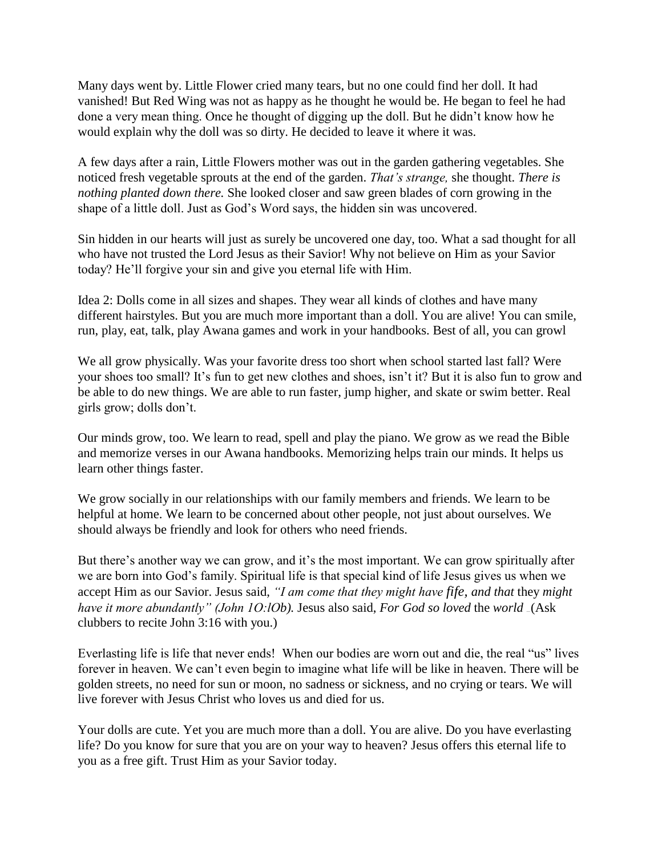Many days went by. Little Flower cried many tears, but no one could find her doll. It had vanished! But Red Wing was not as happy as he thought he would be. He began to feel he had done a very mean thing. Once he thought of digging up the doll. But he didn't know how he would explain why the doll was so dirty. He decided to leave it where it was.

A few days after a rain, Little Flowers mother was out in the garden gathering vegetables. She noticed fresh vegetable sprouts at the end of the garden. *That's strange,* she thought. *There is nothing planted down there.* She looked closer and saw green blades of corn growing in the shape of a little doll. Just as God's Word says, the hidden sin was uncovered.

Sin hidden in our hearts will just as surely be uncovered one day, too. What a sad thought for all who have not trusted the Lord Jesus as their Savior! Why not believe on Him as your Savior today? He'll forgive your sin and give you eternal life with Him.

Idea 2: Dolls come in all sizes and shapes. They wear all kinds of clothes and have many different hairstyles. But you are much more important than a doll. You are alive! You can smile, run, play, eat, talk, play Awana games and work in your handbooks. Best of all, you can growl

We all grow physically. Was your favorite dress too short when school started last fall? Were your shoes too small? It's fun to get new clothes and shoes, isn't it? But it is also fun to grow and be able to do new things. We are able to run faster, jump higher, and skate or swim better. Real girls grow; dolls don't.

Our minds grow, too. We learn to read, spell and play the piano. We grow as we read the Bible and memorize verses in our Awana handbooks. Memorizing helps train our minds. It helps us learn other things faster.

We grow socially in our relationships with our family members and friends. We learn to be helpful at home. We learn to be concerned about other people, not just about ourselves. We should always be friendly and look for others who need friends.

But there's another way we can grow, and it's the most important. We can grow spiritually after we are born into God's family. Spiritual life is that special kind of life Jesus gives us when we accept Him as our Savior. Jesus said, *"I am come that they might have fife, and that* they *might have it more abundantly" (John 10:10b).* Jesus also said, *For God so loved the world* (Ask clubbers to recite John 3:16 with you.)

Everlasting life is life that never ends! When our bodies are worn out and die, the real "us" lives forever in heaven. We can't even begin to imagine what life will be like in heaven. There will be golden streets, no need for sun or moon, no sadness or sickness, and no crying or tears. We will live forever with Jesus Christ who loves us and died for us.

Your dolls are cute. Yet you are much more than a doll. You are alive. Do you have everlasting life? Do you know for sure that you are on your way to heaven? Jesus offers this eternal life to you as a free gift. Trust Him as your Savior today.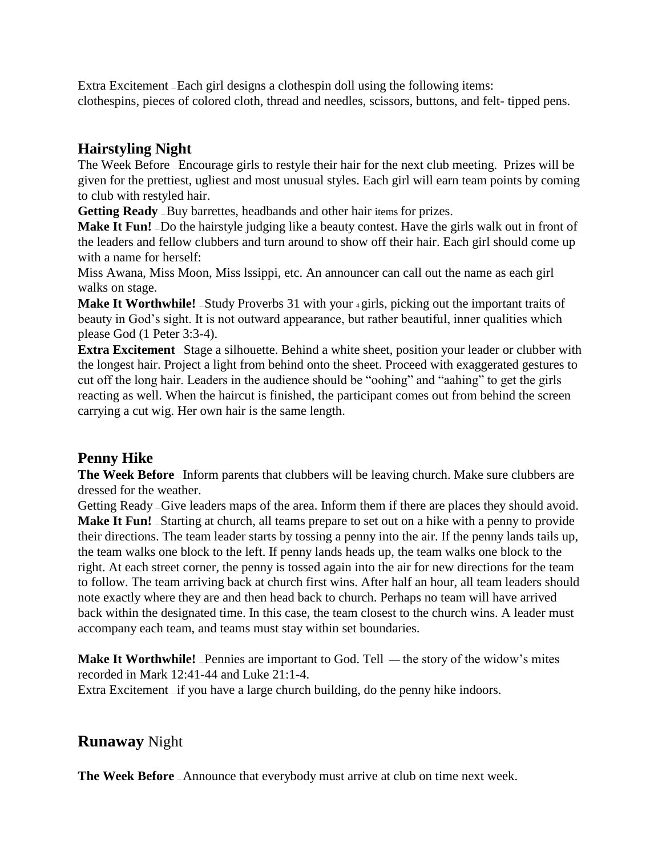Extra Excitement — Each girl designs a clothespin doll using the following items: clothespins, pieces of colored cloth, thread and needles, scissors, buttons, and felt- tipped pens.

## **Hairstyling Night**

The Week Before — Encourage girls to restyle their hair for the next club meeting. Prizes will be given for the prettiest, ugliest and most unusual styles. Each girl will earn team points by coming to club with restyled hair.

Getting Ready - Buy barrettes, headbands and other hair items for prizes.

**Make It Fun!** Do the hairstyle judging like a beauty contest. Have the girls walk out in front of the leaders and fellow clubbers and turn around to show off their hair. Each girl should come up with a name for herself:

Miss Awana, Miss Moon, Miss lssippi, etc. An announcer can call out the name as each girl walks on stage.

**Make It Worthwhile!** - Study Proverbs 31 with your 4 girls, picking out the important traits of beauty in God's sight. It is not outward appearance, but rather beautiful, inner qualities which please God (1 Peter 3:3-4).

**Extra Excitement** - Stage a silhouette. Behind a white sheet, position your leader or clubber with the longest hair. Project a light from behind onto the sheet. Proceed with exaggerated gestures to cut off the long hair. Leaders in the audience should be "oohing" and "aahing" to get the girls reacting as well. When the haircut is finished, the participant comes out from behind the screen carrying a cut wig. Her own hair is the same length.

# **Penny Hike**

**The Week Before** – Inform parents that clubbers will be leaving church. Make sure clubbers are dressed for the weather.

Getting Ready — Give leaders maps of the area. Inform them if there are places they should avoid. **Make It Fun!** - Starting at church, all teams prepare to set out on a hike with a penny to provide their directions. The team leader starts by tossing a penny into the air. If the penny lands tails up, the team walks one block to the left. If penny lands heads up, the team walks one block to the right. At each street corner, the penny is tossed again into the air for new directions for the team to follow. The team arriving back at church first wins. After half an hour, all team leaders should note exactly where they are and then head back to church. Perhaps no team will have arrived back within the designated time. In this case, the team closest to the church wins. A leader must accompany each team, and teams must stay within set boundaries.

**Make It Worthwhile!** - Pennies are important to God. Tell — the story of the widow's mites recorded in Mark 12:41-44 and Luke 21:1-4.

Extra Excitement - if you have a large church building, do the penny hike indoors.

# **Runaway** Night

**The Week Before** - Announce that everybody must arrive at club on time next week.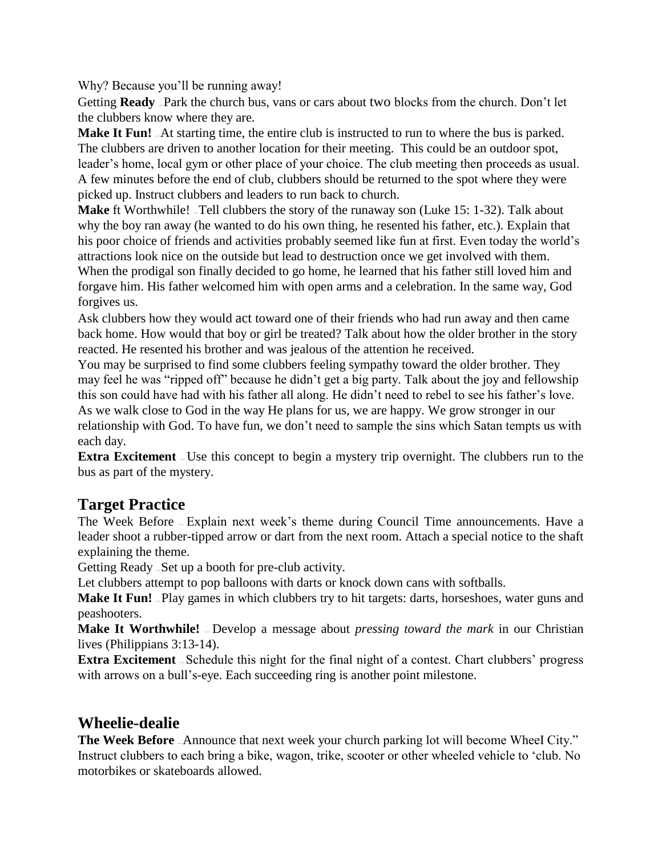Why? Because you'll be running away!

Getting **Ready** – Park the church bus, vans or cars about two blocks from the church. Don't let the clubbers know where they are.

**Make It Fun!**  $-At$  starting time, the entire club is instructed to run to where the bus is parked. The clubbers are driven to another location for their meeting. This could be an outdoor spot, leader's home, local gym or other place of your choice. The club meeting then proceeds as usual. A few minutes before the end of club, clubbers should be returned to the spot where they were picked up. Instruct clubbers and leaders to run back to church.

**Make** ft Worthwhile! — Tell clubbers the story of the runaway son (Luke 15: 1-32). Talk about why the boy ran away (he wanted to do his own thing, he resented his father, etc.). Explain that his poor choice of friends and activities probably seemed like fun at first. Even today the world's attractions look nice on the outside but lead to destruction once we get involved with them. When the prodigal son finally decided to go home, he learned that his father still loved him and forgave him. His father welcomed him with open arms and a celebration. In the same way, God forgives us.

Ask clubbers how they would act toward one of their friends who had run away and then came back home. How would that boy or girl be treated? Talk about how the older brother in the story reacted. He resented his brother and was jealous of the attention he received.

You may be surprised to find some clubbers feeling sympathy toward the older brother. They may feel he was "ripped off" because he didn't get a big party. Talk about the joy and fellowship this son could have had with his father all along. He didn't need to rebel to see his father's love. As we walk close to God in the way He plans for us, we are happy. We grow stronger in our relationship with God. To have fun, we don't need to sample the sins which Satan tempts us with each day.

**Extra Excitement** – Use this concept to begin a mystery trip overnight. The clubbers run to the bus as part of the mystery.

# **Target Practice**

The Week Before — Explain next week's theme during Council Time announcements. Have a leader shoot a rubber-tipped arrow or dart from the next room. Attach a special notice to the shaft explaining the theme.

Getting Ready — Set up a booth for pre-club activity.

Let clubbers attempt to pop balloons with darts or knock down cans with softballs.

Make It Fun! - Play games in which clubbers try to hit targets: darts, horseshoes, water guns and peashooters.

**Make It Worthwhile!** — Develop a message about *pressing toward the mark* in our Christian lives (Philippians 3:13-14).

**Extra Excitement** - Schedule this night for the final night of a contest. Chart clubbers' progress with arrows on a bull's-eye. Each succeeding ring is another point milestone.

## **Wheelie-dealie**

**The Week Before** - Announce that next week your church parking lot will become WheeI City." Instruct clubbers to each bring a bike, wagon, trike, scooter or other wheeled vehicle to 'club. No motorbikes or skateboards allowed.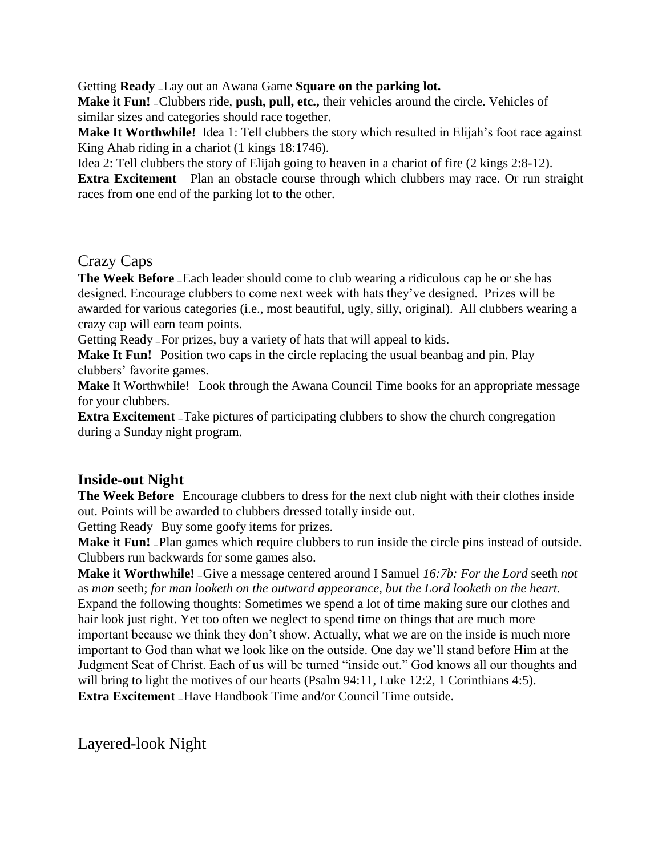Getting **Ready** – Lay out an Awana Game **Square on the parking lot.** 

Make it Fun! \_Clubbers ride, push, pull, etc., their vehicles around the circle. Vehicles of similar sizes and categories should race together.

**Make It Worthwhile!** Idea 1: Tell clubbers the story which resulted in Elijah's foot race against King Ahab riding in a chariot (1 kings 18:1746).

Idea 2: Tell clubbers the story of Elijah going to heaven in a chariot of fire (2 kings 2:8-12).

**Extra Excitement** Plan an obstacle course through which clubbers may race. Or run straight races from one end of the parking lot to the other.

## Crazy Caps

**The Week Before** – Each leader should come to club wearing a ridiculous cap he or she has designed. Encourage clubbers to come next week with hats they've designed. Prizes will be awarded for various categories (i.e., most beautiful, ugly, silly, original). All clubbers wearing a crazy cap will earn team points.

Getting Ready — For prizes, buy a variety of hats that will appeal to kids.

**Make It Fun!** - Position two caps in the circle replacing the usual beanbag and pin. Play clubbers' favorite games.

**Make** It Worthwhile! Look through the Awana Council Time books for an appropriate message for your clubbers.

**Extra Excitement** – Take pictures of participating clubbers to show the church congregation during a Sunday night program.

## **Inside-out Night**

**The Week Before** – Encourage clubbers to dress for the next club night with their clothes inside out. Points will be awarded to clubbers dressed totally inside out.

Getting Ready — Buy some goofy items for prizes.

**Make it Fun!** – Plan games which require clubbers to run inside the circle pins instead of outside. Clubbers run backwards for some games also.

**Make it Worthwhile!** Give a message centered around I Samuel 16:7b: For the Lord seeth not as *man* seeth; *for man looketh on the outward appearance, but the Lord looketh on the heart.*  Expand the following thoughts: Sometimes we spend a lot of time making sure our clothes and hair look just right. Yet too often we neglect to spend time on things that are much more important because we think they don't show. Actually, what we are on the inside is much more important to God than what we look like on the outside. One day we'll stand before Him at the Judgment Seat of Christ. Each of us will be turned "inside out." God knows all our thoughts and will bring to light the motives of our hearts (Psalm 94:11, Luke 12:2, 1 Corinthians 4:5). **Extra Excitement** – Have Handbook Time and/or Council Time outside.

Layered-look Night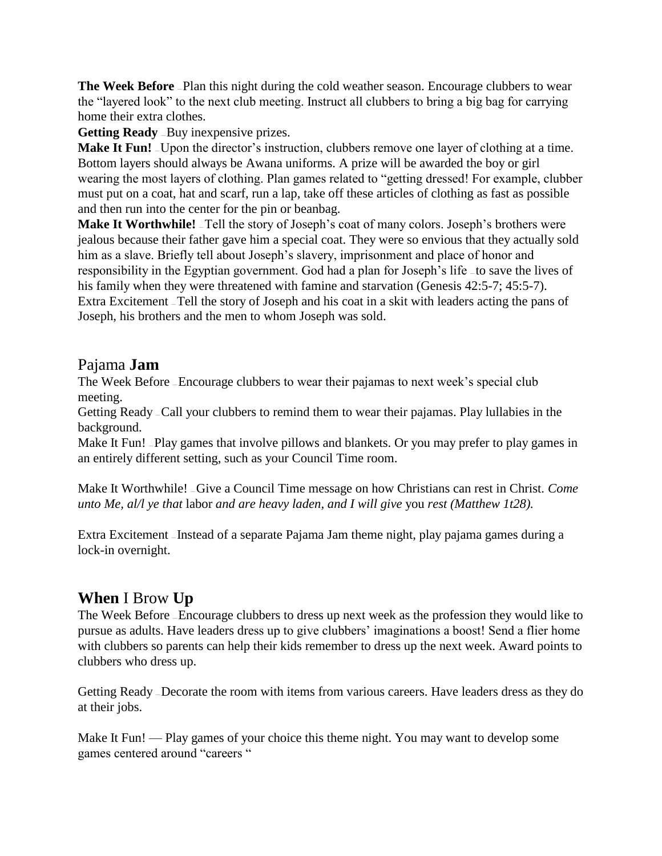**The Week Before** - Plan this night during the cold weather season. Encourage clubbers to wear the "layered look" to the next club meeting. Instruct all clubbers to bring a big bag for carrying home their extra clothes.

**Getting Ready** - Buy inexpensive prizes.

**Make It Fun!** – Upon the director's instruction, clubbers remove one layer of clothing at a time. Bottom layers should always be Awana uniforms. A prize will be awarded the boy or girl wearing the most layers of clothing. Plan games related to "getting dressed! For example, clubber must put on a coat, hat and scarf, run a lap, take off these articles of clothing as fast as possible and then run into the center for the pin or beanbag.

**Make It Worthwhile!** Tell the story of Joseph's coat of many colors. Joseph's brothers were jealous because their father gave him a special coat. They were so envious that they actually sold him as a slave. Briefly tell about Joseph's slavery, imprisonment and place of honor and responsibility in the Egyptian government. God had a plan for Joseph's life — to save the lives of his family when they were threatened with famine and starvation (Genesis 42:5-7; 45:5-7). Extra Excitement — Tell the story of Joseph and his coat in a skit with leaders acting the pans of Joseph, his brothers and the men to whom Joseph was sold.

## Pajama **Jam**

The Week Before — Encourage clubbers to wear their pajamas to next week's special club meeting.

Getting Ready — Call your clubbers to remind them to wear their pajamas. Play lullabies in the background.

Make It Fun! -Play games that involve pillows and blankets. Or you may prefer to play games in an entirely different setting, such as your Council Time room.

Make It Worthwhile! — Give a Council Time message on how Christians can rest in Christ. *Come unto Me, al/l ye that* labor *and are heavy laden, and I will give* you *rest (Matthew 1t28).*

Extra Excitement — Instead of a separate Pajama Jam theme night, play pajama games during a lock-in overnight.

## **When** I Brow **Up**

The Week Before — Encourage clubbers to dress up next week as the profession they would like to pursue as adults. Have leaders dress up to give clubbers' imaginations a boost! Send a flier home with clubbers so parents can help their kids remember to dress up the next week. Award points to clubbers who dress up.

Getting Ready — Decorate the room with items from various careers. Have leaders dress as they do at their jobs.

Make It Fun! — Play games of your choice this theme night. You may want to develop some games centered around "careers "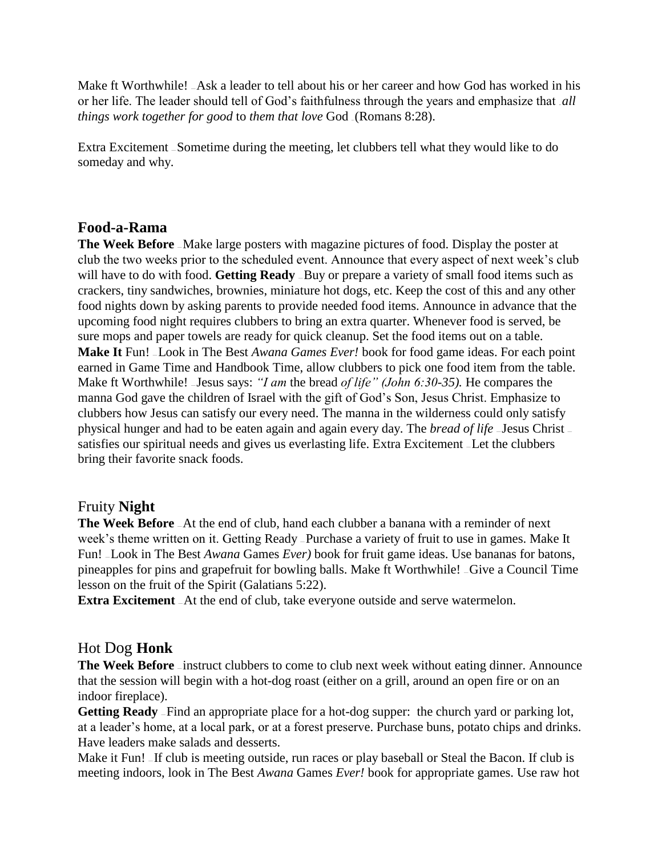Make ft Worthwhile! <sub>-</sub>Ask a leader to tell about his or her career and how God has worked in his or her life. The leader should tell of God's faithfulness through the years and emphasize that *all things work together for good to them that love God ...* (Romans 8:28).

Extra Excitement — Sometime during the meeting, let clubbers tell what they would like to do someday and why.

#### **Food-a-Rama**

**The Week Before** — Make large posters with magazine pictures of food. Display the poster at club the two weeks prior to the scheduled event. Announce that every aspect of next week's club will have to do with food. **Getting Ready** - Buy or prepare a variety of small food items such as crackers, tiny sandwiches, brownies, miniature hot dogs, etc. Keep the cost of this and any other food nights down by asking parents to provide needed food items. Announce in advance that the upcoming food night requires clubbers to bring an extra quarter. Whenever food is served, be sure mops and paper towels are ready for quick cleanup. Set the food items out on a table. **Make It** Fun! – Look in The Best *Awana Games Ever!* book for food game ideas. For each point earned in Game Time and Handbook Time, allow clubbers to pick one food item from the table. Make ft Worthwhile! — Jesus says: *"I am* the bread *of life" (John 6:30-35).* He compares the manna God gave the children of Israel with the gift of God's Son, Jesus Christ. Emphasize to clubbers how Jesus can satisfy our every need. The manna in the wilderness could only satisfy physical hunger and had to be eaten again and again every day. The *bread of life* — Jesus Christ satisfies our spiritual needs and gives us everlasting life. Extra Excitement — Let the clubbers bring their favorite snack foods.

#### Fruity **Night**

**The Week Before** — At the end of club, hand each clubber a banana with a reminder of next week's theme written on it. Getting Ready — Purchase a variety of fruit to use in games. Make It Fun! — Look in The Best *Awana* Games *Ever)* book for fruit game ideas. Use bananas for batons, pineapples for pins and grapefruit for bowling balls. Make ft Worthwhile! — Give a Council Time lesson on the fruit of the Spirit (Galatians 5:22).

**Extra Excitement** At the end of club, take everyone outside and serve watermelon.

## Hot Dog **Honk**

The Week Before *–* instruct clubbers to come to club next week without eating dinner. Announce that the session will begin with a hot-dog roast (either on a grill, around an open fire or on an indoor fireplace).

**Getting Ready** — Find an appropriate place for a hot-dog supper: the church yard or parking lot, at a leader's home, at a local park, or at a forest preserve. Purchase buns, potato chips and drinks. Have leaders make salads and desserts.

Make it Fun! – If club is meeting outside, run races or play baseball or Steal the Bacon. If club is meeting indoors, look in The Best *Awana* Games *Ever!* book for appropriate games. Use raw hot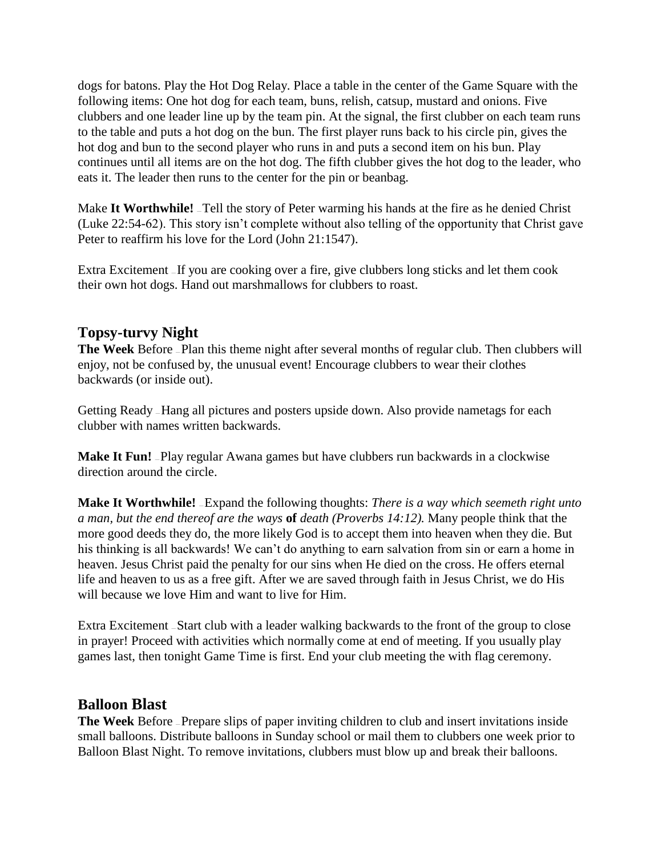dogs for batons. Play the Hot Dog Relay. Place a table in the center of the Game Square with the following items: One hot dog for each team, buns, relish, catsup, mustard and onions. Five clubbers and one leader line up by the team pin. At the signal, the first clubber on each team runs to the table and puts a hot dog on the bun. The first player runs back to his circle pin, gives the hot dog and bun to the second player who runs in and puts a second item on his bun. Play continues until all items are on the hot dog. The fifth clubber gives the hot dog to the leader, who eats it. The leader then runs to the center for the pin or beanbag.

Make It Worthwhile! Tell the story of Peter warming his hands at the fire as he denied Christ (Luke 22:54-62). This story isn't complete without also telling of the opportunity that Christ gave Peter to reaffirm his love for the Lord (John 21:1547).

Extra Excitement — If you are cooking over a fire, give clubbers long sticks and let them cook their own hot dogs. Hand out marshmallows for clubbers to roast.

## **Topsy-turvy Night**

**The Week** Before — Plan this theme night after several months of regular club. Then clubbers will enjoy, not be confused by, the unusual event! Encourage clubbers to wear their clothes backwards (or inside out).

Getting Ready — Hang all pictures and posters upside down. Also provide nametags for each clubber with names written backwards.

**Make It Fun!** <sup>2</sup>Play regular Awana games but have clubbers run backwards in a clockwise direction around the circle.

**Make It Worthwhile!** – Expand the following thoughts: *There is a way which seemeth right unto a man, but the end thereof are the ways* **of** *death (Proverbs 14:12).* Many people think that the more good deeds they do, the more likely God is to accept them into heaven when they die. But his thinking is all backwards! We can't do anything to earn salvation from sin or earn a home in heaven. Jesus Christ paid the penalty for our sins when He died on the cross. He offers eternal life and heaven to us as a free gift. After we are saved through faith in Jesus Christ, we do His will because we love Him and want to live for Him.

Extra Excitement — Start club with a leader walking backwards to the front of the group to close in prayer! Proceed with activities which normally come at end of meeting. If you usually play games last, then tonight Game Time is first. End your club meeting the with flag ceremony.

## **Balloon Blast**

**The Week** Before — Prepare slips of paper inviting children to club and insert invitations inside small balloons. Distribute balloons in Sunday school or mail them to clubbers one week prior to Balloon Blast Night. To remove invitations, clubbers must blow up and break their balloons.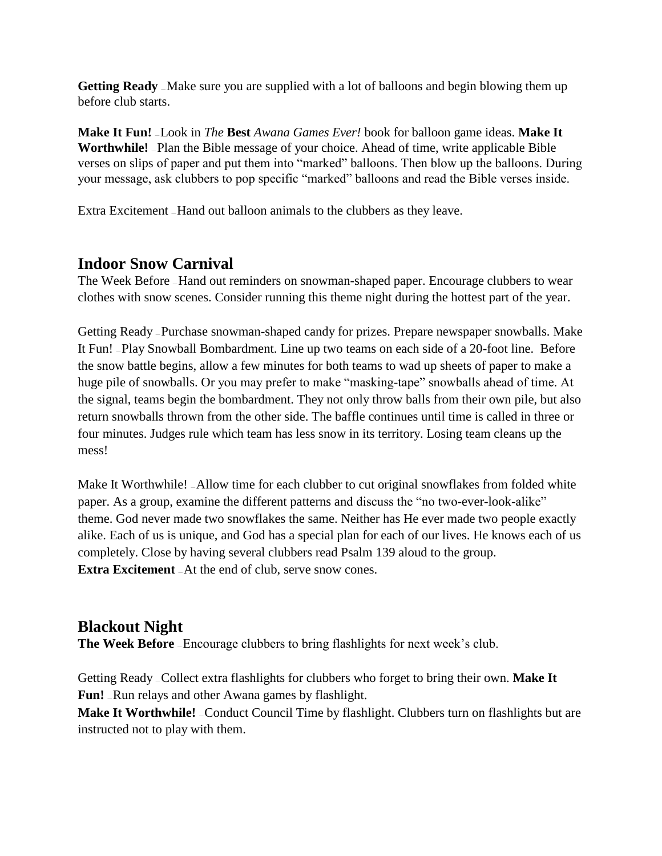Getting Ready - Make sure you are supplied with a lot of balloons and begin blowing them up before club starts.

**Make It Fun!** — Look in *The* **Best** *Awana Games Ever!* book for balloon game ideas. **Make It Worthwhile!** — Plan the Bible message of your choice. Ahead of time, write applicable Bible verses on slips of paper and put them into "marked" balloons. Then blow up the balloons. During your message, ask clubbers to pop specific "marked" balloons and read the Bible verses inside.

Extra Excitement — Hand out balloon animals to the clubbers as they leave.

## **Indoor Snow Carnival**

The Week Before — Hand out reminders on snowman-shaped paper. Encourage clubbers to wear clothes with snow scenes. Consider running this theme night during the hottest part of the year.

Getting Ready — Purchase snowman-shaped candy for prizes. Prepare newspaper snowballs. Make It Fun! — Play Snowball Bombardment. Line up two teams on each side of a 20-foot line. Before the snow battle begins, allow a few minutes for both teams to wad up sheets of paper to make a huge pile of snowballs. Or you may prefer to make "masking-tape" snowballs ahead of time. At the signal, teams begin the bombardment. They not only throw balls from their own pile, but also return snowballs thrown from the other side. The baffle continues until time is called in three or four minutes. Judges rule which team has less snow in its territory. Losing team cleans up the mess!

Make It Worthwhile! \_Allow time for each clubber to cut original snowflakes from folded white paper. As a group, examine the different patterns and discuss the "no two-ever-look-alike" theme. God never made two snowflakes the same. Neither has He ever made two people exactly alike. Each of us is unique, and God has a special plan for each of our lives. He knows each of us completely. Close by having several clubbers read Psalm 139 aloud to the group. **Extra Excitement** – At the end of club, serve snow cones.

## **Blackout Night**

The Week Before - Encourage clubbers to bring flashlights for next week's club.

Getting Ready — Collect extra flashlights for clubbers who forget to bring their own. **Make It**  Fun! - Run relays and other Awana games by flashlight.

**Make It Worthwhile!** - Conduct Council Time by flashlight. Clubbers turn on flashlights but are instructed not to play with them.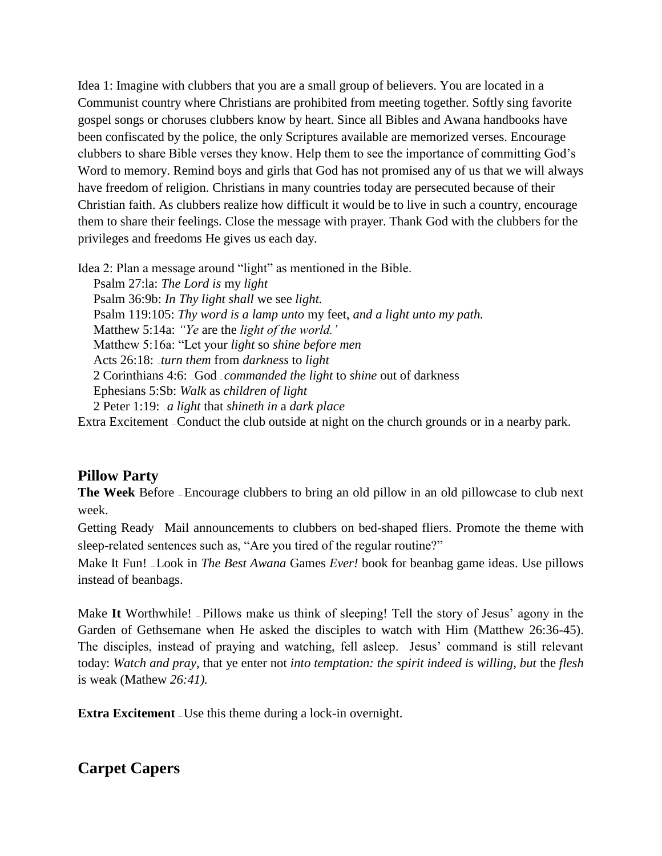Idea 1: Imagine with clubbers that you are a small group of believers. You are located in a Communist country where Christians are prohibited from meeting together. Softly sing favorite gospel songs or choruses clubbers know by heart. Since all Bibles and Awana handbooks have been confiscated by the police, the only Scriptures available are memorized verses. Encourage clubbers to share Bible verses they know. Help them to see the importance of committing God's Word to memory. Remind boys and girls that God has not promised any of us that we will always have freedom of religion. Christians in many countries today are persecuted because of their Christian faith. As clubbers realize how difficult it would be to live in such a country, encourage them to share their feelings. Close the message with prayer. Thank God with the clubbers for the privileges and freedoms He gives us each day.

Idea 2: Plan a message around "light" as mentioned in the Bible.

Psalm 27:la: *The Lord is* my *light* Psalm 36:9b: *In Thy light shall* we see *light.* Psalm 119:105: *Thy word is a lamp unto* my feet, *and a light unto my path.* Matthew 5:14a: *"Ye* are the *light of the world.'* Matthew 5:16a: "Let your *light* so *shine before men* Acts 26:18: ... *turn them* from *darkness* to *light* 2 Corinthians 4:6: ... God ... *commanded the light to shine out of darkness* Ephesians 5:Sb: *Walk* as *children of light* 2 Peter 1:19: ... *a light* that *shineth in* a *dark place* Extra Excitement — Conduct the club outside at night on the church grounds or in a nearby park.

## **Pillow Party**

**The Week** Before — Encourage clubbers to bring an old pillow in an old pillowcase to club next week.

Getting Ready — Mail announcements to clubbers on bed-shaped fliers. Promote the theme with sleep-related sentences such as, "Are you tired of the regular routine?"

Make It Fun! — Look in *The Best Awana* Games *Ever!* book for beanbag game ideas. Use pillows instead of beanbags.

Make **It** Worthwhile! — Pillows make us think of sleeping! Tell the story of Jesus' agony in the Garden of Gethsemane when He asked the disciples to watch with Him (Matthew 26:36-45). The disciples, instead of praying and watching, fell asleep. Jesus' command is still relevant today: *Watch and pray,* that ye enter not *into temptation: the spirit indeed is willing, but* the *flesh*  is weak (Mathew *26:41).*

**Extra Excitement** – Use this theme during a lock-in overnight.

# **Carpet Capers**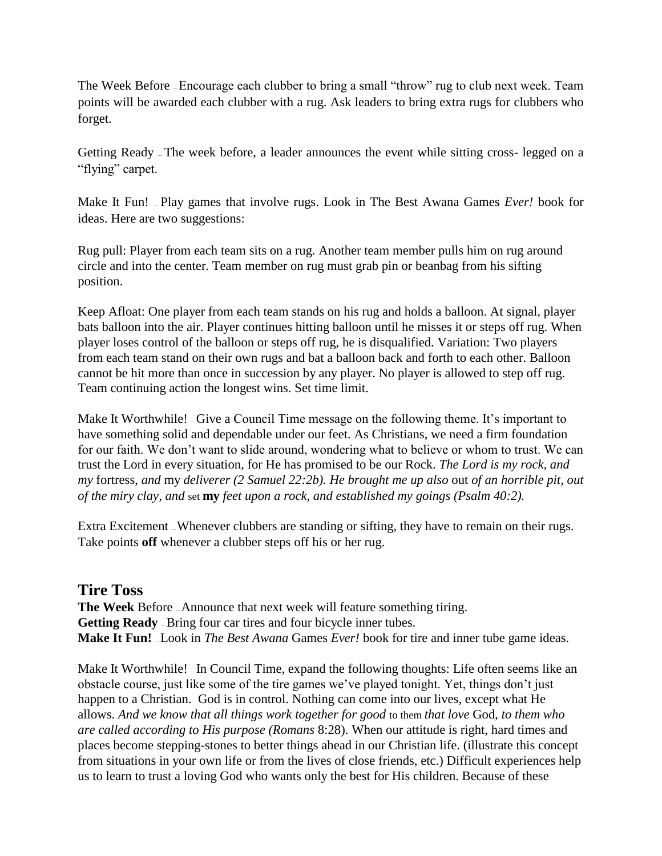The Week Before – Encourage each clubber to bring a small "throw" rug to club next week. Team points will be awarded each clubber with a rug. Ask leaders to bring extra rugs for clubbers who forget.

Getting Ready — The week before, a leader announces the event while sitting cross- legged on a "flying" carpet.

Make It Fun! — Play games that involve rugs. Look in The Best Awana Games *Ever!* book for ideas. Here are two suggestions:

Rug pull: Player from each team sits on a rug. Another team member pulls him on rug around circle and into the center. Team member on rug must grab pin or beanbag from his sifting position.

Keep Afloat: One player from each team stands on his rug and holds a balloon. At signal, player bats balloon into the air. Player continues hitting balloon until he misses it or steps off rug. When player loses control of the balloon or steps off rug, he is disqualified. Variation: Two players from each team stand on their own rugs and bat a balloon back and forth to each other. Balloon cannot be hit more than once in succession by any player. No player is allowed to step off rug. Team continuing action the longest wins. Set time limit.

Make It Worthwhile! – Give a Council Time message on the following theme. It's important to have something solid and dependable under our feet. As Christians, we need a firm foundation for our faith. We don't want to slide around, wondering what to believe or whom to trust. We can trust the Lord in every situation, for He has promised to be our Rock. *The Lord is my rock, and my* fortress, *and* my *deliverer (2 Samuel 22:2b). He brought me up also* out *of an horrible pit, out of the miry clay, and* set **my** *feet upon a rock, and established my goings (Psalm 40:2).*

Extra Excitement — Whenever clubbers are standing or sifting, they have to remain on their rugs. Take points **off** whenever a clubber steps off his or her rug.

## **Tire Toss**

**The Week** Before — Announce that next week will feature something tiring. Getting Ready - Bring four car tires and four bicycle inner tubes. **Make It Fun!** — Look in *The Best Awana* Games *Ever!* book for tire and inner tube game ideas.

Make It Worthwhile! -In Council Time, expand the following thoughts: Life often seems like an obstacle course, just like some of the tire games we've played tonight. Yet, things don't just happen to a Christian. God is in control. Nothing can come into our lives, except what He allows. *And we know that all things work together for good* to them *that love* God, *to them who are called according to His purpose (Romans* 8:28). When our attitude is right, hard times and places become stepping-stones to better things ahead in our Christian life. (illustrate this concept from situations in your own life or from the lives of close friends, etc.) Difficult experiences help us to learn to trust a loving God who wants only the best for His children. Because of these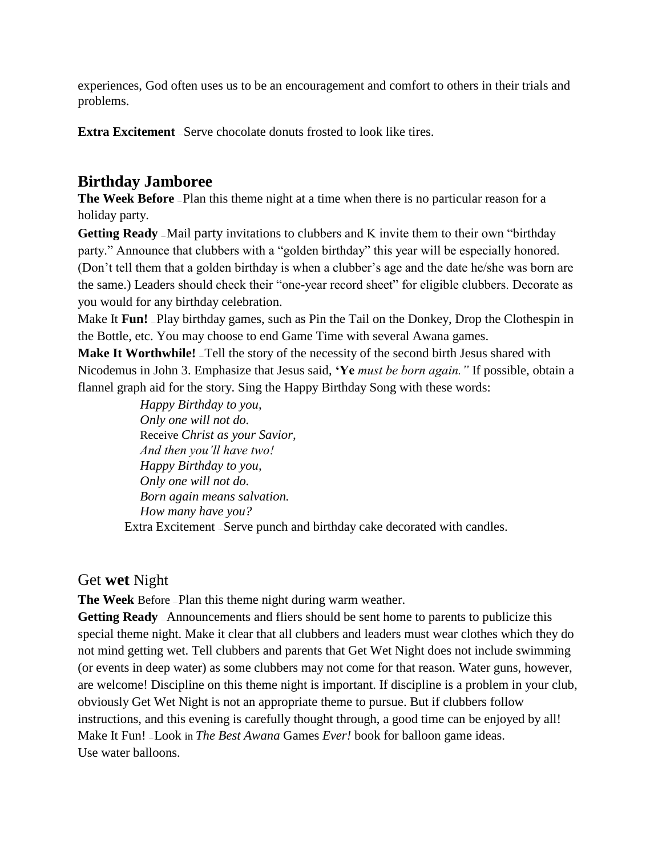experiences, God often uses us to be an encouragement and comfort to others in their trials and problems.

**Extra Excitement** – Serve chocolate donuts frosted to look like tires.

## **Birthday Jamboree**

**The Week Before** – Plan this theme night at a time when there is no particular reason for a holiday party.

**Getting Ready** - Mail party invitations to clubbers and K invite them to their own "birthday" party." Announce that clubbers with a "golden birthday" this year will be especially honored. (Don't tell them that a golden birthday is when a clubber's age and the date he/she was born are the same.) Leaders should check their "one-year record sheet" for eligible clubbers. Decorate as you would for any birthday celebration.

Make It Fun! -Play birthday games, such as Pin the Tail on the Donkey, Drop the Clothespin in the Bottle, etc. You may choose to end Game Time with several Awana games.

**Make It Worthwhile!** Tell the story of the necessity of the second birth Jesus shared with Nicodemus in John 3. Emphasize that Jesus said, **'Ye** *must be born again."* If possible, obtain a flannel graph aid for the story. Sing the Happy Birthday Song with these words:

*Happy Birthday to you, Only one will not do.* Receive *Christ as your Savior, And then you'll have two! Happy Birthday to you, Only one will not do. Born again means salvation. How many have you?* Extra Excitement — Serve punch and birthday cake decorated with candles.

## Get **wet** Night

**The Week** Before — Plan this theme night during warm weather.

**Getting Ready** — Announcements and fliers should be sent home to parents to publicize this special theme night. Make it clear that all clubbers and leaders must wear clothes which they do not mind getting wet. Tell clubbers and parents that Get Wet Night does not include swimming (or events in deep water) as some clubbers may not come for that reason. Water guns, however, are welcome! Discipline on this theme night is important. If discipline is a problem in your club, obviously Get Wet Night is not an appropriate theme to pursue. But if clubbers follow instructions, and this evening is carefully thought through, a good time can be enjoyed by all! Make It Fun! — Look in *The Best Awana* Games *Ever!* book for balloon game ideas. Use water balloons.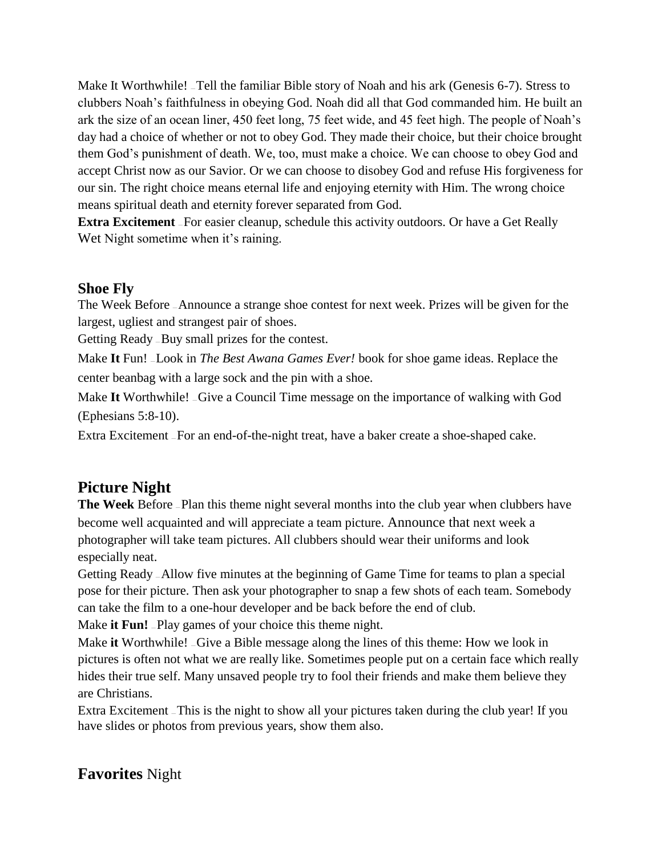Make It Worthwhile! -Tell the familiar Bible story of Noah and his ark (Genesis 6-7). Stress to clubbers Noah's faithfulness in obeying God. Noah did all that God commanded him. He built an ark the size of an ocean liner, 450 feet long, 75 feet wide, and 45 feet high. The people of Noah's day had a choice of whether or not to obey God. They made their choice, but their choice brought them God's punishment of death. We, too, must make a choice. We can choose to obey God and accept Christ now as our Savior. Or we can choose to disobey God and refuse His forgiveness for our sin. The right choice means eternal life and enjoying eternity with Him. The wrong choice means spiritual death and eternity forever separated from God.

**Extra Excitement** – For easier cleanup, schedule this activity outdoors. Or have a Get Really Wet Night sometime when it's raining.

## **Shoe Fly**

The Week Before — Announce a strange shoe contest for next week. Prizes will be given for the largest, ugliest and strangest pair of shoes.

Getting Ready — Buy small prizes for the contest.

Make **It** Fun! — Look in *The Best Awana Games Ever!* book for shoe game ideas. Replace the center beanbag with a large sock and the pin with a shoe.

Make **It** Worthwhile! — Give a Council Time message on the importance of walking with God (Ephesians 5:8-10).

Extra Excitement — For an end-of-the-night treat, have a baker create a shoe-shaped cake.

# **Picture Night**

**The Week** Before – Plan this theme night several months into the club year when clubbers have become well acquainted and will appreciate a team picture. Announce that next week a photographer will take team pictures. All clubbers should wear their uniforms and look especially neat.

Getting Ready — Allow five minutes at the beginning of Game Time for teams to plan a special pose for their picture. Then ask your photographer to snap a few shots of each team. Somebody can take the film to a one-hour developer and be back before the end of club.

Make **it Fun!** Play games of your choice this theme night.

Make **it** Worthwhile! — Give a Bible message along the lines of this theme: How we look in pictures is often not what we are really like. Sometimes people put on a certain face which really hides their true self. Many unsaved people try to fool their friends and make them believe they are Christians.

Extra Excitement — This is the night to show all your pictures taken during the club year! If you have slides or photos from previous years, show them also.

# **Favorites** Night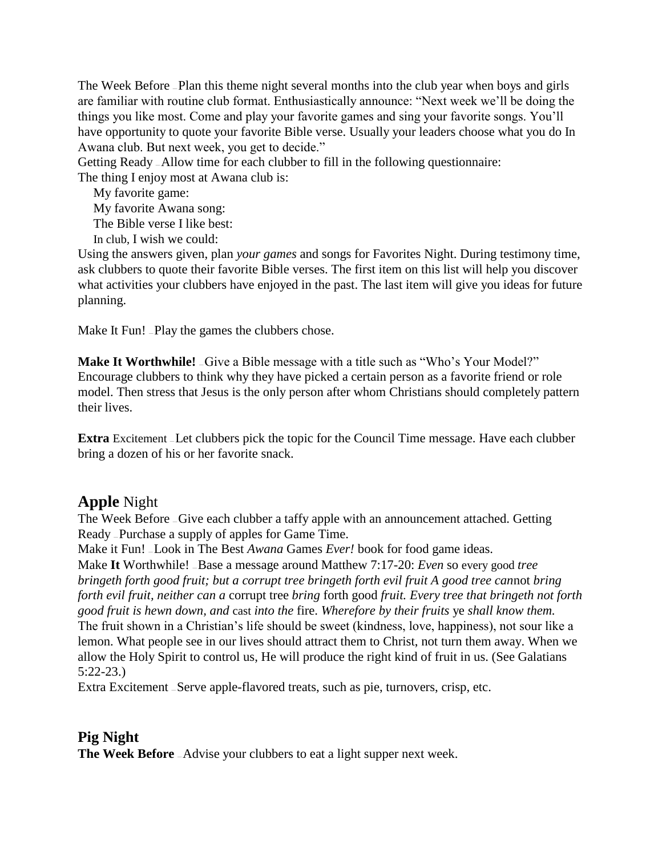The Week Before — Plan this theme night several months into the club year when boys and girls are familiar with routine club format. Enthusiastically announce: "Next week we'll be doing the things you like most. Come and play your favorite games and sing your favorite songs. You'll have opportunity to quote your favorite Bible verse. Usually your leaders choose what you do In Awana club. But next week, you get to decide."

Getting Ready — Allow time for each clubber to fill in the following questionnaire:

The thing I enjoy most at Awana club is:

My favorite game: My favorite Awana song: The Bible verse I like best: In club, I wish we could:

Using the answers given, plan *your games* and songs for Favorites Night. During testimony time, ask clubbers to quote their favorite Bible verses. The first item on this list will help you discover what activities your clubbers have enjoyed in the past. The last item will give you ideas for future planning.

Make It Fun! – Play the games the clubbers chose.

**Make It Worthwhile!** Give a Bible message with a title such as "Who's Your Model?" Encourage clubbers to think why they have picked a certain person as a favorite friend or role model. Then stress that Jesus is the only person after whom Christians should completely pattern their lives.

**Extra** Excitement - Let clubbers pick the topic for the Council Time message. Have each clubber bring a dozen of his or her favorite snack.

## **Apple** Night

The Week Before – Give each clubber a taffy apple with an announcement attached. Getting Ready — Purchase a supply of apples for Game Time.

Make it Fun! — Look in The Best *Awana* Games *Ever!* book for food game ideas.

Make **It** Worthwhile! — Base a message around Matthew 7:17-20: *Even* so every good *tree bringeth forth good fruit; but a corrupt tree bringeth forth evil fruit A good tree can*not *bring forth evil fruit, neither can a* corrupt tree *bring* forth good *fruit. Every tree that bringeth not forth good fruit is hewn down, and* cast *into the* fire. *Wherefore by their fruits* ye *shall know them.* The fruit shown in a Christian's life should be sweet (kindness, love, happiness), not sour like a lemon. What people see in our lives should attract them to Christ, not turn them away. When we allow the Holy Spirit to control us, He will produce the right kind of fruit in us. (See Galatians 5:22-23.)

Extra Excitement — Serve apple-flavored treats, such as pie, turnovers, crisp, etc.

## **Pig Night**

**The Week Before** - Advise your clubbers to eat a light supper next week.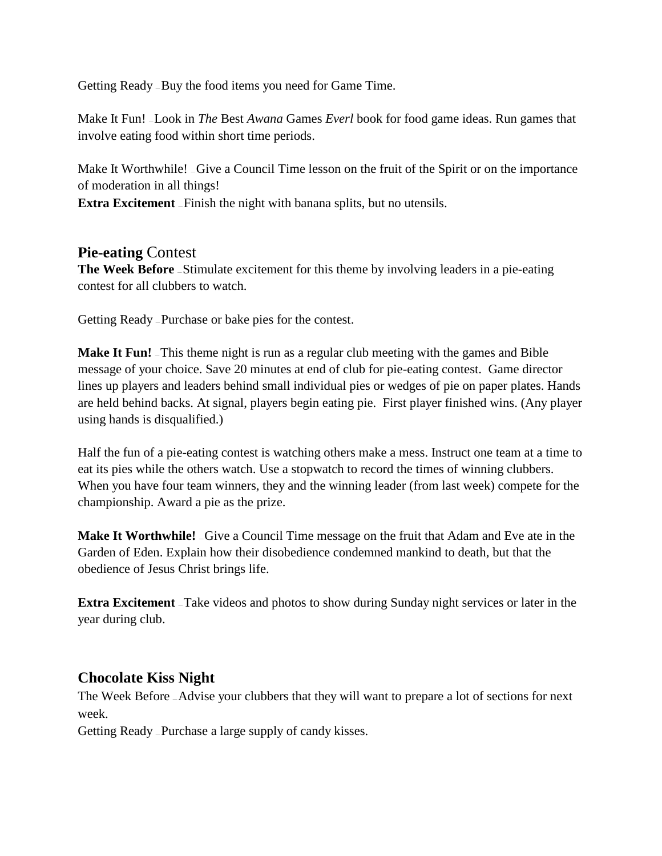Getting Ready — Buy the food items you need for Game Time.

Make It Fun! — Look in *The* Best *Awana* Games *Everl* book for food game ideas. Run games that involve eating food within short time periods.

Make It Worthwhile! – Give a Council Time lesson on the fruit of the Spirit or on the importance of moderation in all things!

**Extra Excitement** – Finish the night with banana splits, but no utensils.

#### **Pie-eating** Contest

**The Week Before** – Stimulate excitement for this theme by involving leaders in a pie-eating contest for all clubbers to watch.

Getting Ready — Purchase or bake pies for the contest.

**Make It Fun!** This theme night is run as a regular club meeting with the games and Bible message of your choice. Save 20 minutes at end of club for pie-eating contest. Game director lines up players and leaders behind small individual pies or wedges of pie on paper plates. Hands are held behind backs. At signal, players begin eating pie. First player finished wins. (Any player using hands is disqualified.)

Half the fun of a pie-eating contest is watching others make a mess. Instruct one team at a time to eat its pies while the others watch. Use a stopwatch to record the times of winning clubbers. When you have four team winners, they and the winning leader (from last week) compete for the championship. Award a pie as the prize.

**Make It Worthwhile!**  $\overline{\phantom{a}}$  Give a Council Time message on the fruit that Adam and Eve ate in the Garden of Eden. Explain how their disobedience condemned mankind to death, but that the obedience of Jesus Christ brings life.

**Extra Excitement** – Take videos and photos to show during Sunday night services or later in the year during club.

## **Chocolate Kiss Night**

The Week Before — Advise your clubbers that they will want to prepare a lot of sections for next week.

Getting Ready — Purchase a large supply of candy kisses.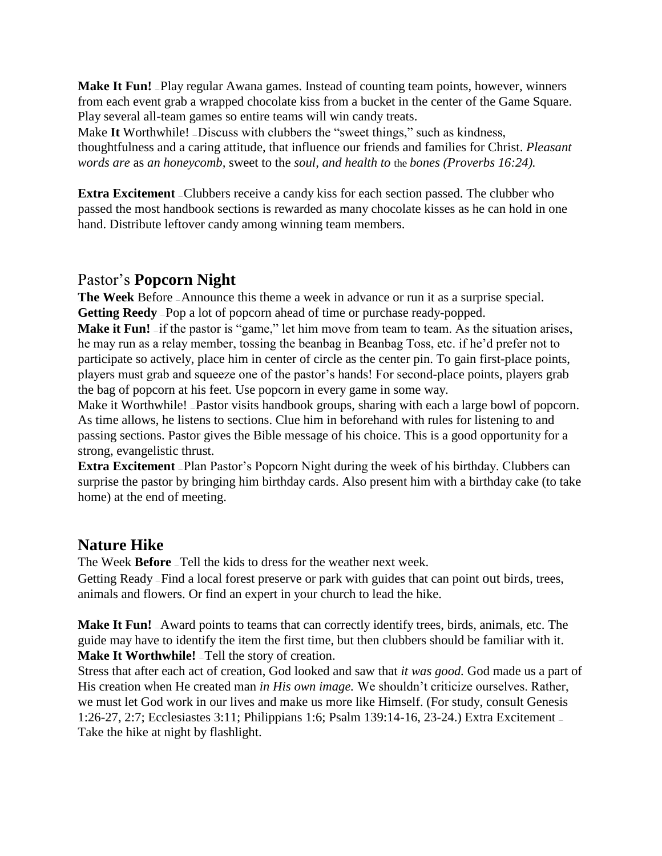**Make It Fun!** -Play regular Awana games. Instead of counting team points, however, winners from each event grab a wrapped chocolate kiss from a bucket in the center of the Game Square. Play several all-team games so entire teams will win candy treats.

Make It Worthwhile! –Discuss with clubbers the "sweet things," such as kindness, thoughtfulness and a caring attitude, that influence our friends and families for Christ. *Pleasant words are* as *an honeycomb,* sweet to the *soul, and health to* the *bones (Proverbs 16:24).*

**Extra Excitement** – Clubbers receive a candy kiss for each section passed. The clubber who passed the most handbook sections is rewarded as many chocolate kisses as he can hold in one hand. Distribute leftover candy among winning team members.

## Pastor's **Popcorn Night**

**The Week** Before — Announce this theme a week in advance or run it as a surprise special. **Getting Reedy** - Pop a lot of popcorn ahead of time or purchase ready-popped.

**Make it Fun!** If the pastor is "game," let him move from team to team. As the situation arises, he may run as a relay member, tossing the beanbag in Beanbag Toss, etc. if he'd prefer not to participate so actively, place him in center of circle as the center pin. To gain first-place points, players must grab and squeeze one of the pastor's hands! For second-place points, players grab the bag of popcorn at his feet. Use popcorn in every game in some way.

Make it Worthwhile! –Pastor visits handbook groups, sharing with each a large bowl of popcorn. As time allows, he listens to sections. Clue him in beforehand with rules for listening to and passing sections. Pastor gives the Bible message of his choice. This is a good opportunity for a strong, evangelistic thrust.

**Extra Excitement** - Plan Pastor's Popcorn Night during the week of his birthday. Clubbers can surprise the pastor by bringing him birthday cards. Also present him with a birthday cake (to take home) at the end of meeting.

## **Nature Hike**

The Week **Before** — Tell the kids to dress for the weather next week.

Getting Ready — Find a local forest preserve or park with guides that can point out birds, trees, animals and flowers. Or find an expert in your church to lead the hike.

**Make It Fun!**  $\alpha$  Award points to teams that can correctly identify trees, birds, animals, etc. The guide may have to identify the item the first time, but then clubbers should be familiar with it. **Make It Worthwhile!** Tell the story of creation.

Stress that after each act of creation, God looked and saw that *it was good.* God made us a part of His creation when He created man *in His own image.* We shouldn't criticize ourselves. Rather, we must let God work in our lives and make us more like Himself. (For study, consult Genesis 1:26-27, 2:7; Ecclesiastes 3:11; Philippians 1:6; Psalm 139:14-16, 23-24.) Extra Excitement — Take the hike at night by flashlight.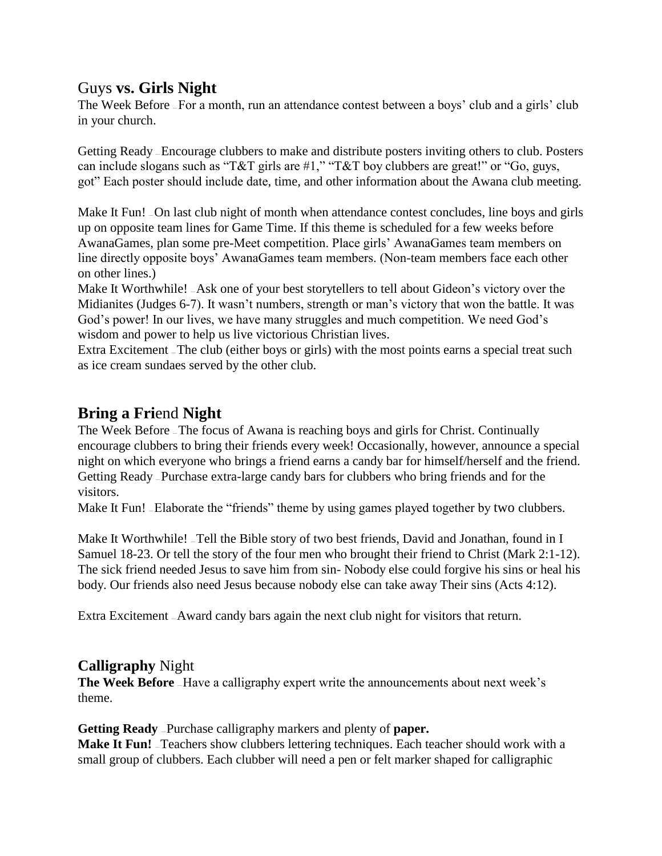## Guys **vs. Girls Night**

The Week Before — For a month, run an attendance contest between a boys' club and a girls' club in your church.

Getting Ready — Encourage clubbers to make and distribute posters inviting others to club. Posters can include slogans such as "T&T girls are  $\#1$ ," "T&T boy clubbers are great!" or "Go, guys, got" Each poster should include date, time, and other information about the Awana club meeting.

Make It Fun! - On last club night of month when attendance contest concludes, line boys and girls up on opposite team lines for Game Time. If this theme is scheduled for a few weeks before AwanaGames, plan some pre-Meet competition. Place girls' AwanaGames team members on line directly opposite boys' AwanaGames team members. (Non-team members face each other on other lines.)

Make It Worthwhile! \_Ask one of your best storytellers to tell about Gideon's victory over the Midianites (Judges 6-7). It wasn't numbers, strength or man's victory that won the battle. It was God's power! In our lives, we have many struggles and much competition. We need God's wisdom and power to help us live victorious Christian lives.

Extra Excitement — The club (either boys or girls) with the most points earns a special treat such as ice cream sundaes served by the other club.

## **Bring a Fri**end **Night**

The Week Before — The focus of Awana is reaching boys and girls for Christ. Continually encourage clubbers to bring their friends every week! Occasionally, however, announce a special night on which everyone who brings a friend earns a candy bar for himself/herself and the friend. Getting Ready — Purchase extra-large candy bars for clubbers who bring friends and for the visitors.

Make It Fun! - Elaborate the "friends" theme by using games played together by two clubbers.

Make It Worthwhile! Tell the Bible story of two best friends, David and Jonathan, found in I Samuel 18-23. Or tell the story of the four men who brought their friend to Christ (Mark 2:1-12). The sick friend needed Jesus to save him from sin- Nobody else could forgive his sins or heal his body. Our friends also need Jesus because nobody else can take away Their sins (Acts 4:12).

Extra Excitement — Award candy bars again the next club night for visitors that return.

## **Calligraphy** Night

**The Week Before** - Have a calligraphy expert write the announcements about next week's theme.

**Getting Ready** — Purchase calligraphy markers and plenty of **paper.**

**Make It Fun!** – Teachers show clubbers lettering techniques. Each teacher should work with a small group of clubbers. Each clubber will need a pen or felt marker shaped for calligraphic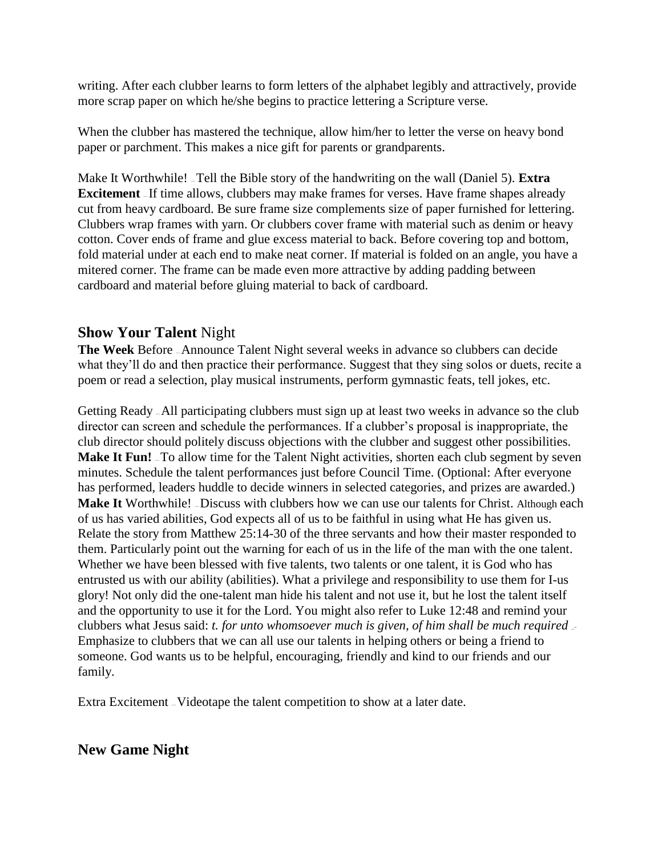writing. After each clubber learns to form letters of the alphabet legibly and attractively, provide more scrap paper on which he/she begins to practice lettering a Scripture verse.

When the clubber has mastered the technique, allow him/her to letter the verse on heavy bond paper or parchment. This makes a nice gift for parents or grandparents.

Make It Worthwhile! — Tell the Bible story of the handwriting on the wall (Daniel 5). **Extra Excitement** If time allows, clubbers may make frames for verses. Have frame shapes already cut from heavy cardboard. Be sure frame size complements size of paper furnished for lettering. Clubbers wrap frames with yarn. Or clubbers cover frame with material such as denim or heavy cotton. Cover ends of frame and glue excess material to back. Before covering top and bottom, fold material under at each end to make neat corner. If material is folded on an angle, you have a mitered corner. The frame can be made even more attractive by adding padding between cardboard and material before gluing material to back of cardboard.

#### **Show Your Talent** Night

**The Week** Before — Announce Talent Night several weeks in advance so clubbers can decide what they'll do and then practice their performance. Suggest that they sing solos or duets, recite a poem or read a selection, play musical instruments, perform gymnastic feats, tell jokes, etc.

Getting Ready — All participating clubbers must sign up at least two weeks in advance so the club director can screen and schedule the performances. If a clubber's proposal is inappropriate, the club director should politely discuss objections with the clubber and suggest other possibilities. **Make It Fun!** To allow time for the Talent Night activities, shorten each club segment by seven minutes. Schedule the talent performances just before Council Time. (Optional: After everyone has performed, leaders huddle to decide winners in selected categories, and prizes are awarded.) **Make It** Worthwhile! –Discuss with clubbers how we can use our talents for Christ. Although each of us has varied abilities, God expects all of us to be faithful in using what He has given us. Relate the story from Matthew 25:14-30 of the three servants and how their master responded to them. Particularly point out the warning for each of us in the life of the man with the one talent. Whether we have been blessed with five talents, two talents or one talent, it is God who has entrusted us with our ability (abilities). What a privilege and responsibility to use them for I-us glory! Not only did the one-talent man hide his talent and not use it, but he lost the talent itself and the opportunity to use it for the Lord. You might also refer to Luke 12:48 and remind your clubbers what Jesus said: *t. for unto whomsoever much is given, of him shall be much required*. Emphasize to clubbers that we can all use our talents in helping others or being a friend to someone. God wants us to be helpful, encouraging, friendly and kind to our friends and our family.

Extra Excitement — Videotape the talent competition to show at a later date.

#### **New Game Night**